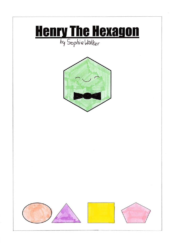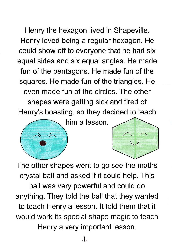Henry the hexagon lived in Shapeville. Henry loved being a regular hexagon. He could show off to everyone that he had six equal sides and six equal angles. He made fun of the pentagons. He made fun of the squares. He made fun of the triangles. He even made fun of the circles. The other shapes were getting sick and tired of Henry's boasting, so they decided to teach equal sides and six equal angles. He<br>fun of the pentagons. He made fun of<br>squares. He made fun of the triangle<br>even made fun of the circles. The o<br>shapes were getting sick and tired<br>Henry's boasting, so they decided to<br>him

him a lesson.



The other shapes went to go see the maths crystal ball and asked if it could help. This ball was very powerful and could do anything. They told the ball that they wanted to teach Henry a lesson. It told them that it would work its special shape magic to teach Henry a very important lesson.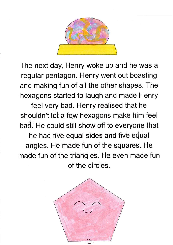

The next day, Henry woke up and he was a regular pentagon. Henry went out boasting and making fun of all the other shapes. The hexagons started to laugh and made Henry feel very bad. Henry realised that he shouldn't let a few hexagons make him feel bad. He could still show off to everyone that he had five equal sides and five equal angles. He made fun of the squares. He made fun of the triangles. He even made fun

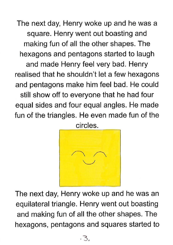The next day, Henry woke up and he was a square. Henry went out boasting and making fun of all the other shapes. The hexagons and pentagons started to laugh and made Henry feel very bad. Henry realised that he shouldn't let a few hexagons and pentagons make him feel bad. He could still show off to everyone that he had four equal sides and four equal angles. He made fun of the triangles. He even made fun of the circles.



The next day, Henry woke up and he was an equilateral triangle. Henry went out boasting and making fun of all the other shapes. The hexagons, pentagons and squares started to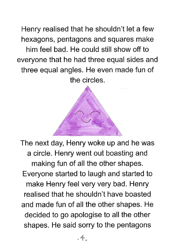Henry realised that he shouldn't let a few hexagons, pentagons and squares make him feel bad. He could still show off to everyone that he had three equal sides and three equal angles. He even made fun of the circles.

én

per een personal

 $\sqrt{2}$ 

The next day, Henry woke up and he was a circle. Henry went out boasting and making fun of all the other shapes. Everyone started to laugh and started to make Henry feel very very bad. Henry realised that he shouldn't have boasted and made fun of all the other shapes. He decided to go apologise to all the other shapes. He said sorry to the pentagons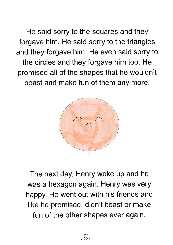He said sorry to the squares and they forgave him. He said sorry to the triangles and they forgave him. He even said sorry to the circles and they forgave him too. He promised all of the shapes that he wouldn't boast and make fun of them any more.



day, Henry woke using the carry work of the same went out with his formised, didn't boase other shapes every formulation of the shapes every formulation of the shapes every formulation of the shapes every formulation of th The next day, Henry woke up and he was a hexagon again. Henry was very happy. He went out with his friends and like he promised, didn't boast or make fun of the other shapes ever again.